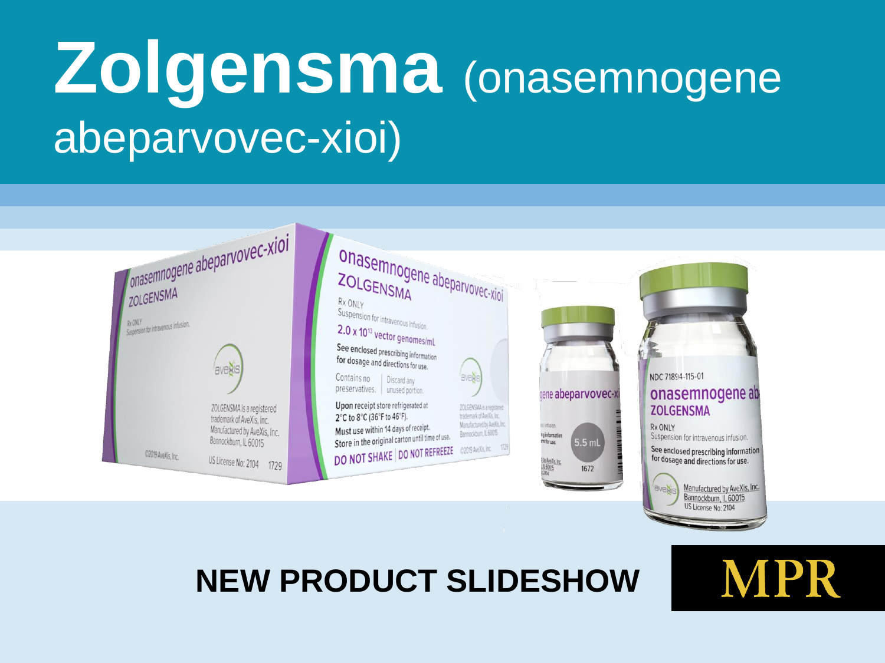# **Zolgensma** (onasemnogene abeparvovec-xioi)

| Jonasemnogene abeparvovec-xioi<br>Onasemnogene abeparvovec-xioi<br>ZOLGENSMA<br>Rx ONLY<br>Suspension for intravenous infusion.<br>Suspension for intravenous infusion.<br>2.0 x 10 <sup>13</sup> vector genomes/mL<br>See enclosed prescribing information<br>for dosage and directions for use.<br>aveais<br>avens<br>NDC 71894-115-01<br>Contains no   Discard any<br>preservatives.   unused portion.<br>onasemnogene ab<br>gene abeparvovec-xi<br>Upon receipt store refrigerated at<br>ZOLGENSMA is a registered<br>ZOLGENSMA is a registered<br><b>ZOLGENSMA</b><br>trademark of AveXis. Inc.<br>2°C to 8°C (36°F to 46°F).<br>trademark of AveXis, Inc.<br>Manufactured by Avelis, Inc.<br>is infusion.<br>Rx ONLY<br>Must use within 14 days of receipt.<br>Manufactured by AveXis, Inc.<br>Bannockburn, IL 60015<br>ng information<br>Store in the original carton until time of use.<br>Suspension for intravenous infusion.<br>Bannockburn, IL 60015<br>5.5 mL<br>ins for use.<br>DO NOT SHAKE   DO NOT REFREEZE COOP Avelia. 773<br>See enclosed prescribing information<br>C2019 AveXis, Inc.<br>for dosage and directions for use.<br>US License No: 2104 1729<br><u>1 by AueXis, Inc.</u><br>. IL 60015<br>¤ 2004<br>1672 |
|-------------------------------------------------------------------------------------------------------------------------------------------------------------------------------------------------------------------------------------------------------------------------------------------------------------------------------------------------------------------------------------------------------------------------------------------------------------------------------------------------------------------------------------------------------------------------------------------------------------------------------------------------------------------------------------------------------------------------------------------------------------------------------------------------------------------------------------------------------------------------------------------------------------------------------------------------------------------------------------------------------------------------------------------------------------------------------------------------------------------------------------------------------------------------------------------------------------------------------------------|
|-------------------------------------------------------------------------------------------------------------------------------------------------------------------------------------------------------------------------------------------------------------------------------------------------------------------------------------------------------------------------------------------------------------------------------------------------------------------------------------------------------------------------------------------------------------------------------------------------------------------------------------------------------------------------------------------------------------------------------------------------------------------------------------------------------------------------------------------------------------------------------------------------------------------------------------------------------------------------------------------------------------------------------------------------------------------------------------------------------------------------------------------------------------------------------------------------------------------------------------------|



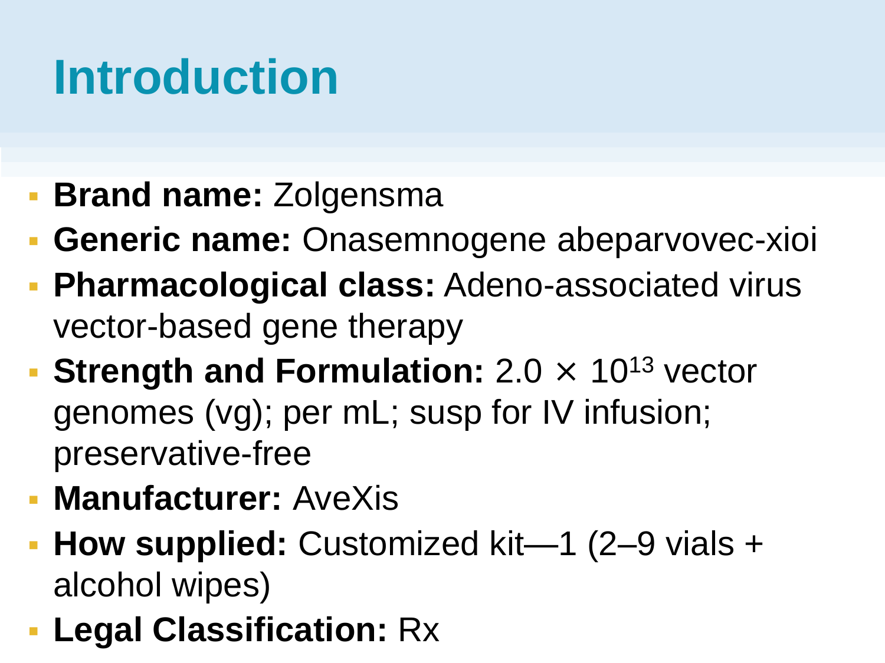## **Introduction**

- **Brand name: Zolgensma**
- **Generic name:** Onasemnogene abeparvovec-xioi
- **Pharmacological class:** Adeno-associated virus vector-based gene therapy
- **Strength and Formulation:** 2.0  $\times$  10<sup>13</sup> vector genomes (vg); per mL; susp for IV infusion; preservative-free
- **Manufacturer:** AveXis
- **How supplied:** Customized kit—1 (2–9 vials + alcohol wipes)
- **Legal Classification:** Rx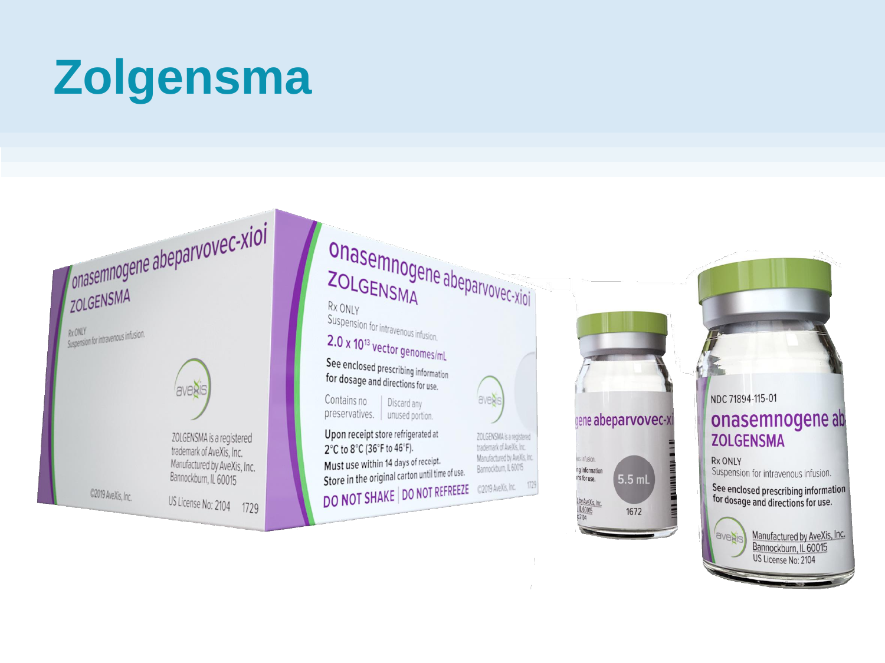## **Zolgensma**







#### onasemnogene ab **ZOLGENSMA**

**Rx ONLY** Suspension for intravenous infusion.

See enclosed prescribing information for dosage and directions for use.

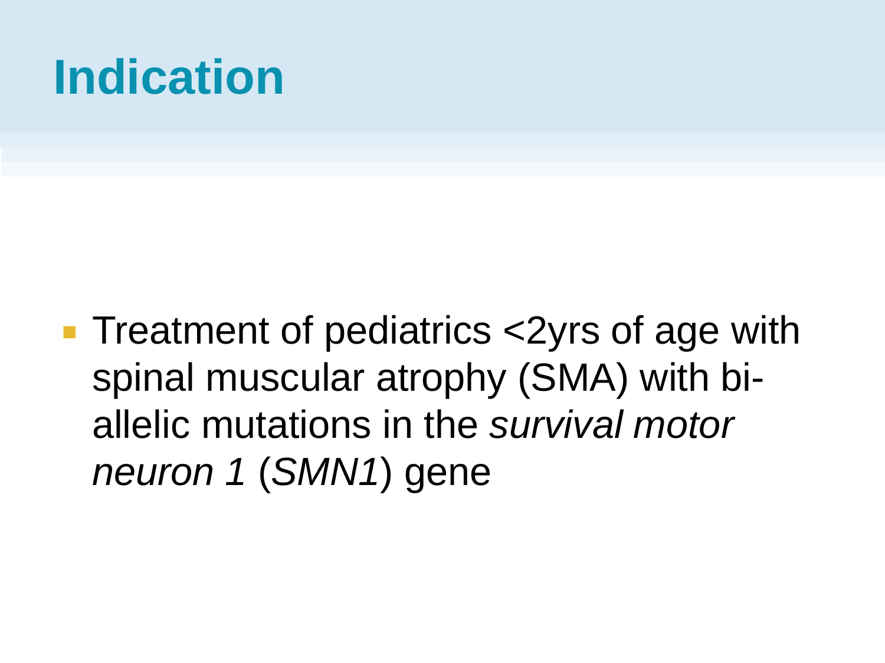## **Indication**

■ Treatment of pediatrics <2yrs of age with spinal muscular atrophy (SMA) with biallelic mutations in the *survival motor neuron 1* (*SMN1*) gene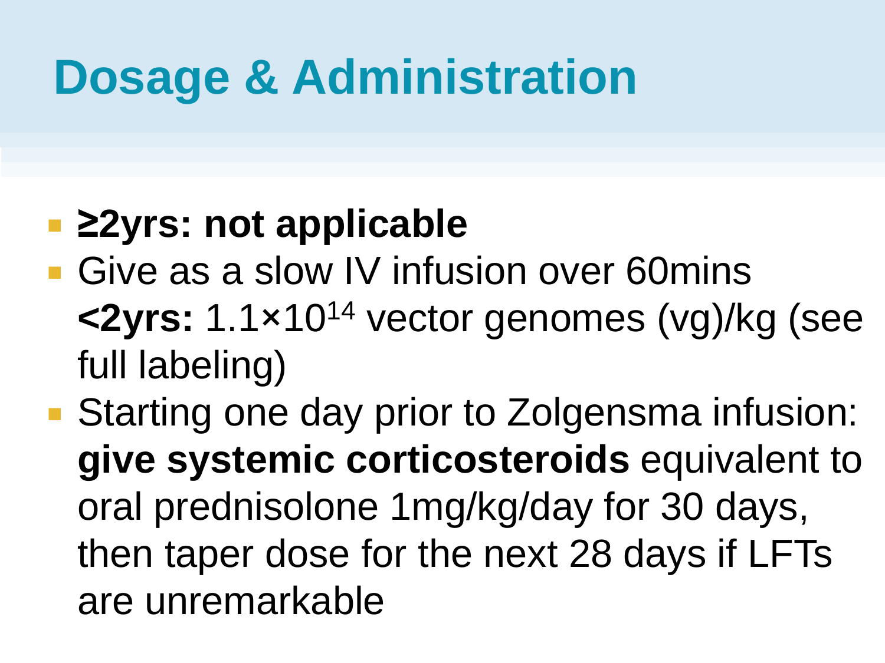## **Dosage & Administration**

#### ■ 22yrs: not applicable

- **Give as a slow IV infusion over 60mins <2yrs:** 1.1×10<sup>14</sup> vector genomes (vg)/kg (see full labeling)
- Starting one day prior to Zolgensma infusion: **give systemic corticosteroids** equivalent to oral prednisolone 1mg/kg/day for 30 days, then taper dose for the next 28 days if LFTs are unremarkable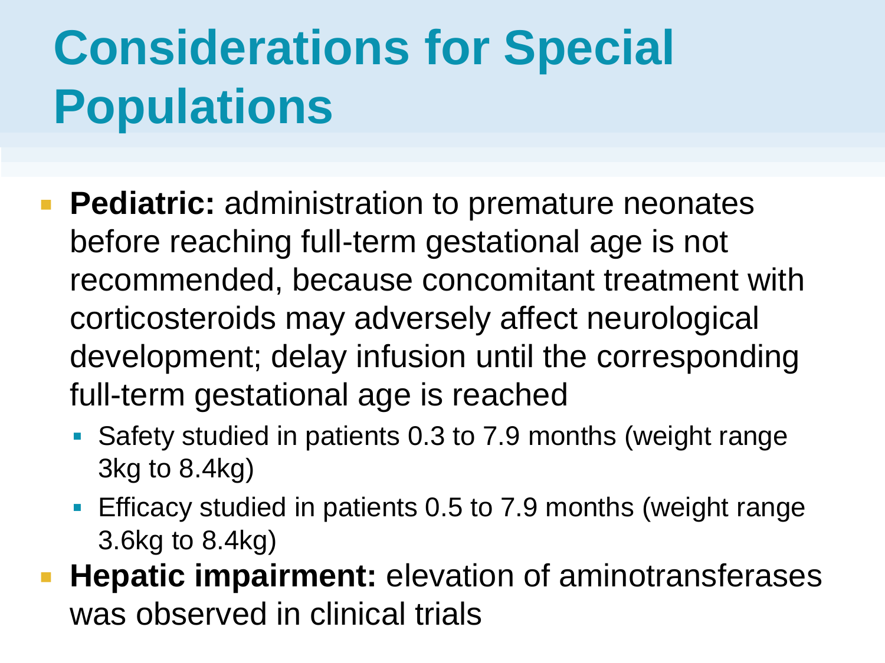## **Considerations for Special Populations**

- **Pediatric:** administration to premature neonates before reaching full-term gestational age is not recommended, because concomitant treatment with corticosteroids may adversely affect neurological development; delay infusion until the corresponding full-term gestational age is reached
	- Safety studied in patients 0.3 to 7.9 months (weight range 3kg to 8.4kg)
	- **Efficacy studied in patients 0.5 to 7.9 months (weight range** 3.6kg to 8.4kg)
- **Hepatic impairment:** elevation of aminotransferases was observed in clinical trials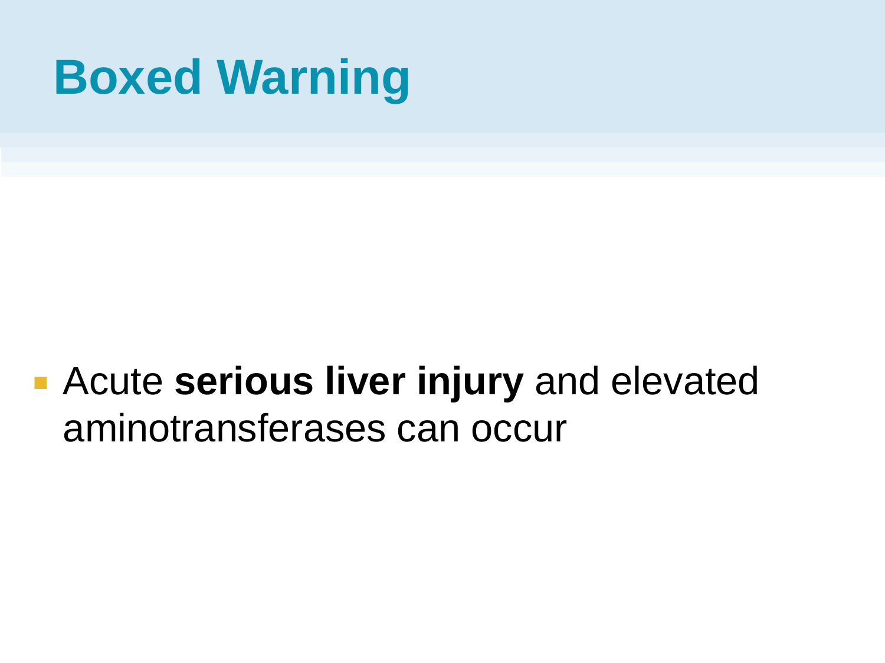## **Boxed Warning**

 Acute **serious liver injury** and elevated aminotransferases can occur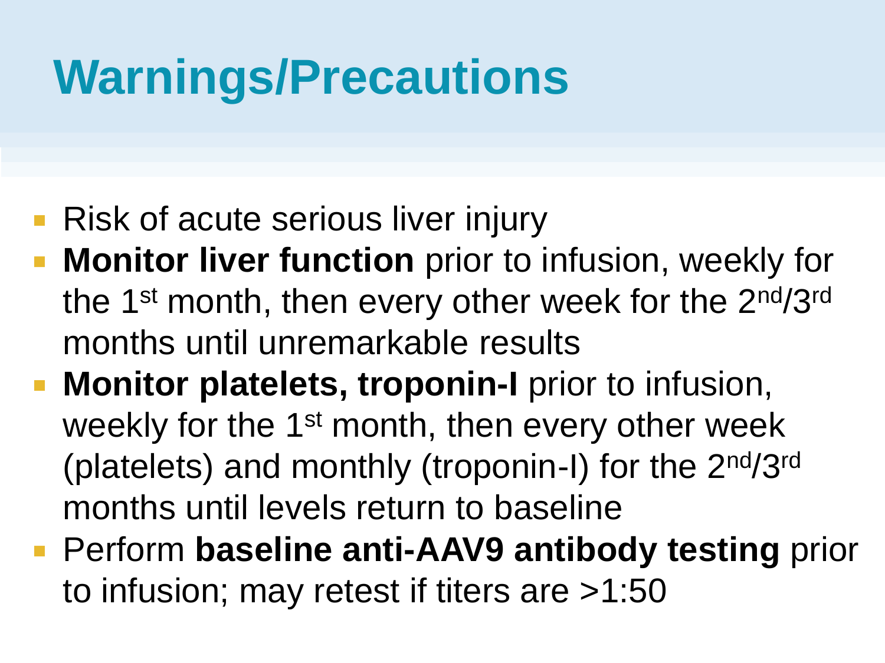## **Warnings/Precautions**

- Risk of acute serious liver injury
- **Monitor liver function** prior to infusion, weekly for the 1<sup>st</sup> month, then every other week for the 2<sup>nd</sup>/3<sup>rd</sup> months until unremarkable results
- **Monitor platelets, troponin-I** prior to infusion, weekly for the 1<sup>st</sup> month, then every other week (platelets) and monthly (troponin-I) for the 2nd/3rd months until levels return to baseline
- Perform **baseline anti-AAV9 antibody testing** prior to infusion; may retest if titers are >1:50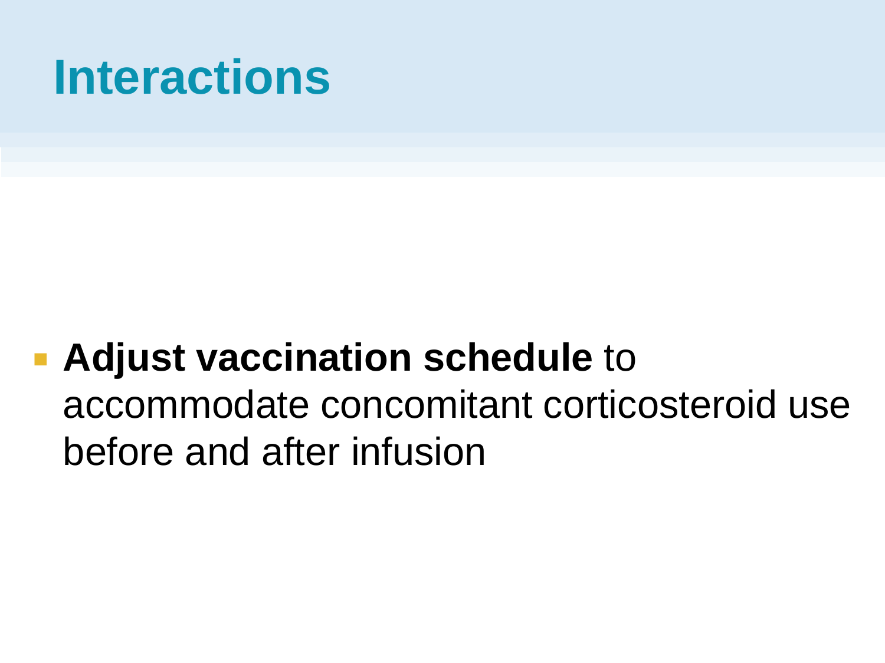#### **Interactions**

#### **Adjust vaccination schedule** to accommodate concomitant corticosteroid use before and after infusion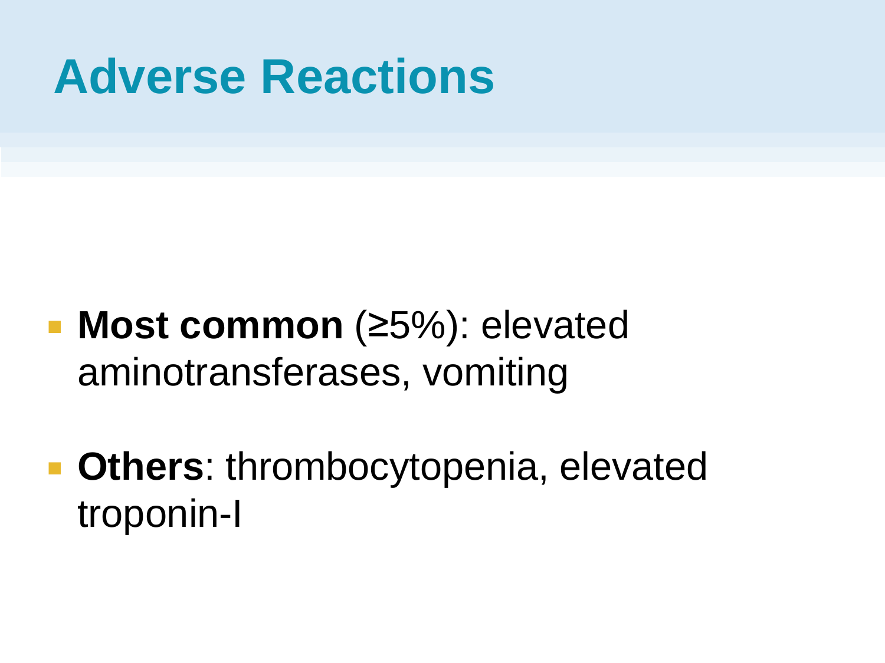### **Adverse Reactions**

- **Most common** (≥5%): elevated aminotransferases, vomiting
- **Cthers**: thrombocytopenia, elevated troponin-I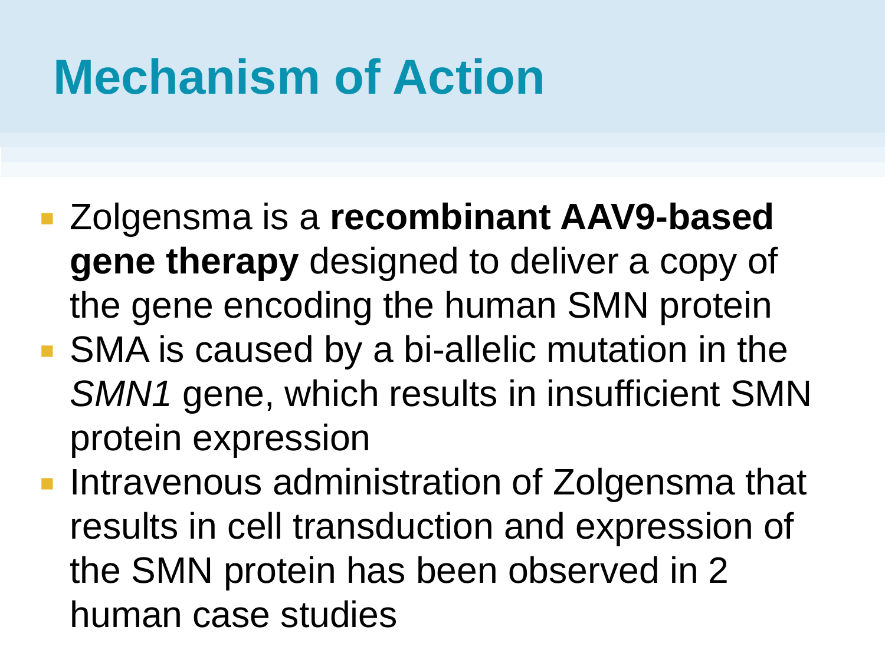## **Mechanism of Action**

- Zolgensma is a **recombinant AAV9-based gene therapy** designed to deliver a copy of the gene encoding the human SMN protein ■ SMA is caused by a bi-allelic mutation in the
	- *SMN1* gene, which results in insufficient SMN protein expression
- **Intravenous administration of Zolgensma that** results in cell transduction and expression of the SMN protein has been observed in 2 human case studies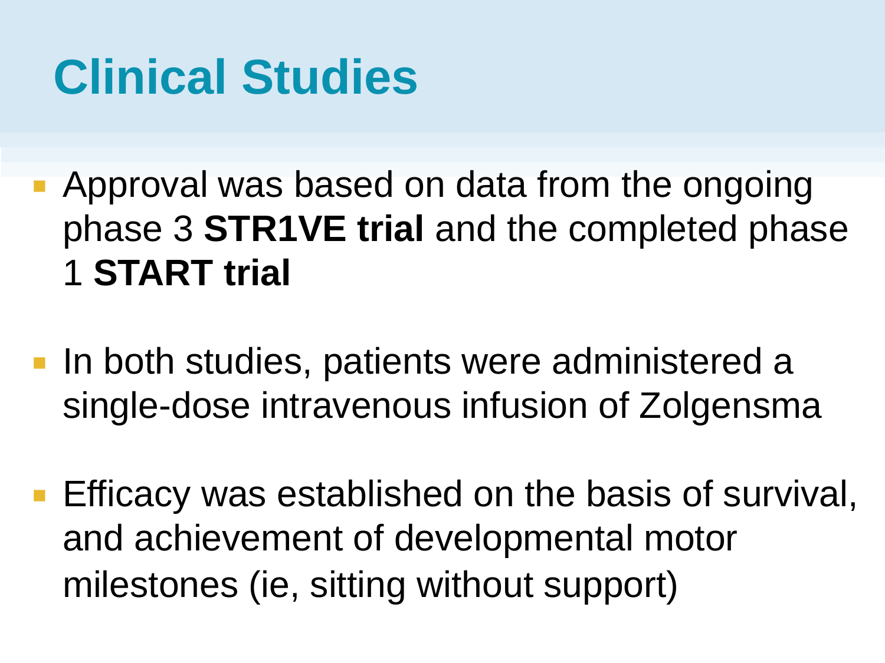- **Approval was based on data from the ongoing** phase 3 **STR1VE trial** and the completed phase 1 **START trial**
- **If a** In both studies, patients were administered a single-dose intravenous infusion of Zolgensma
- Efficacy was established on the basis of survival, and achievement of developmental motor milestones (ie, sitting without support)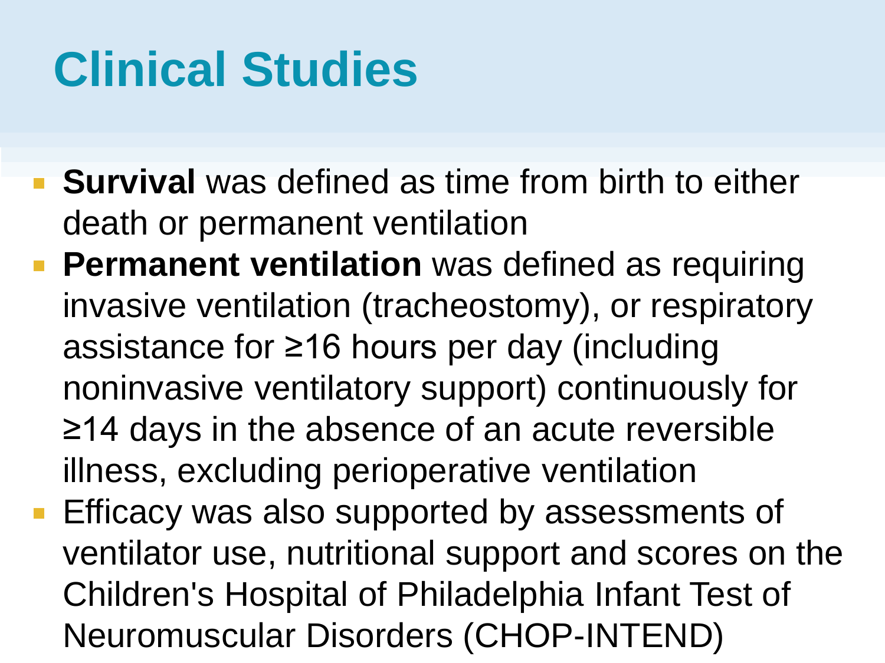- **Survival** was defined as time from birth to either death or permanent ventilation
- **Permanent ventilation** was defined as requiring invasive ventilation (tracheostomy), or respiratory assistance for ≥16 hours per day (including noninvasive ventilatory support) continuously for ≥14 days in the absence of an acute reversible illness, excluding perioperative ventilation
- Efficacy was also supported by assessments of ventilator use, nutritional support and scores on the Children's Hospital of Philadelphia Infant Test of Neuromuscular Disorders (CHOP-INTEND)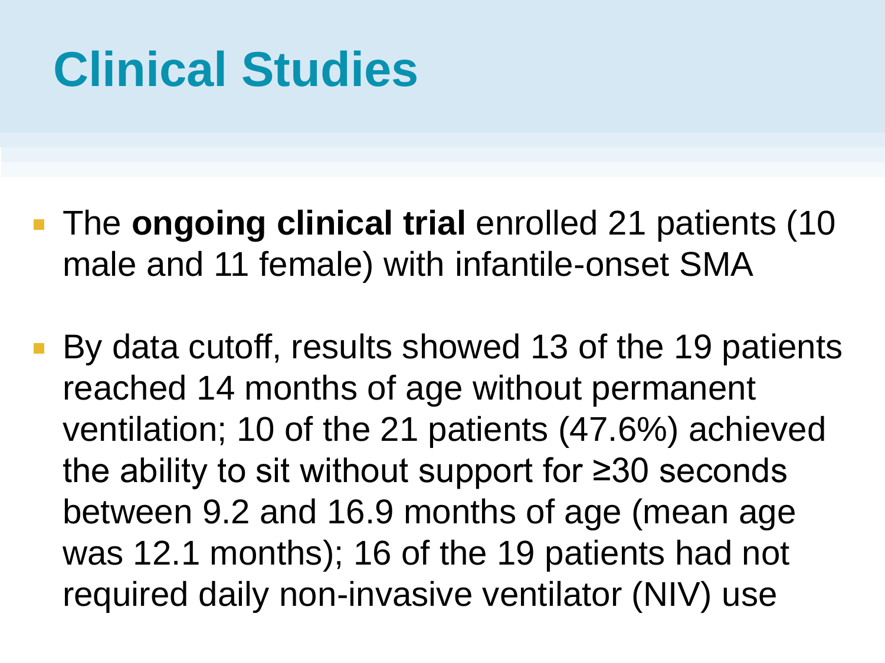- The **ongoing clinical trial** enrolled 21 patients (10 male and 11 female) with infantile-onset SMA
- By data cutoff, results showed 13 of the 19 patients reached 14 months of age without permanent ventilation; 10 of the 21 patients (47.6%) achieved the ability to sit without support for ≥30 seconds between 9.2 and 16.9 months of age (mean age was 12.1 months); 16 of the 19 patients had not required daily non-invasive ventilator (NIV) use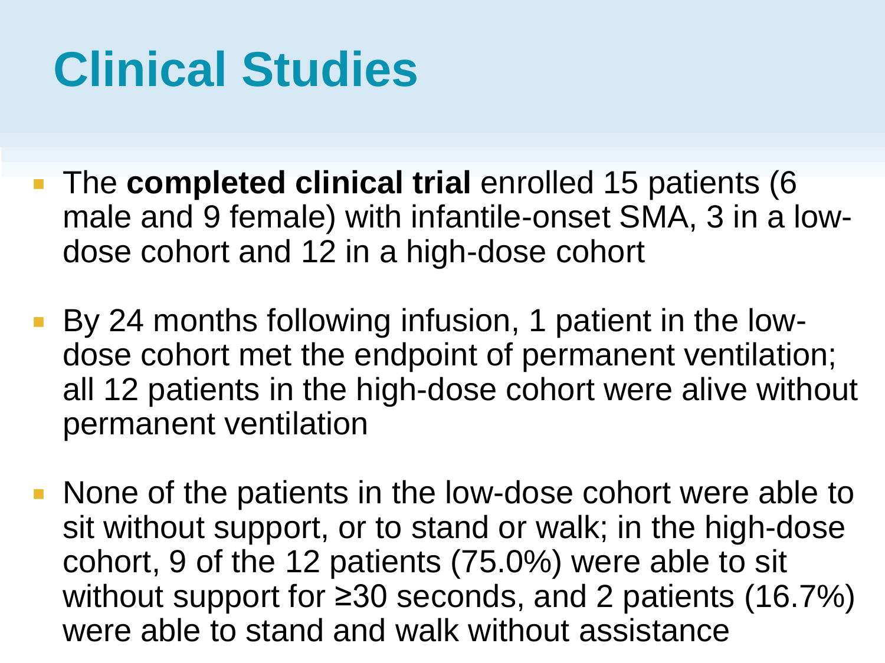- The **completed clinical trial** enrolled 15 patients (6 male and 9 female) with infantile-onset SMA, 3 in a lowdose cohort and 12 in a high-dose cohort
- By 24 months following infusion, 1 patient in the lowdose cohort met the endpoint of permanent ventilation; all 12 patients in the high-dose cohort were alive without permanent ventilation
- None of the patients in the low-dose cohort were able to sit without support, or to stand or walk; in the high-dose cohort, 9 of the 12 patients (75.0%) were able to sit without support for ≥30 seconds, and 2 patients (16.7%) were able to stand and walk without assistance